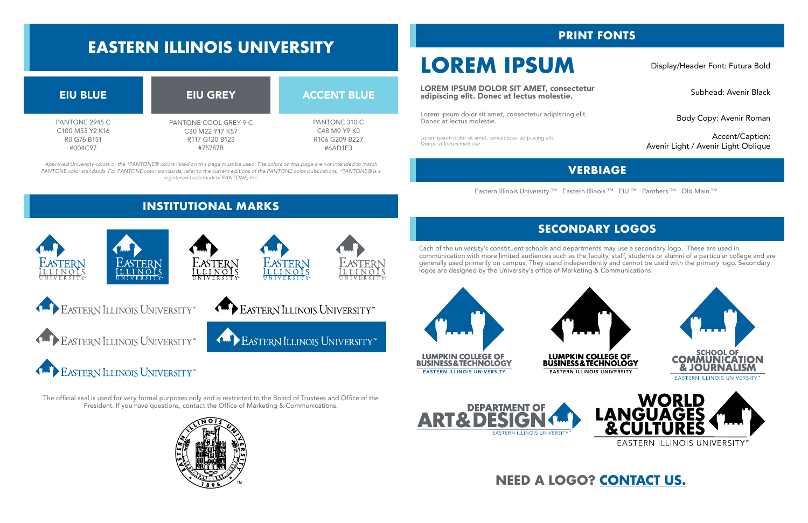# **EASTERN ILLINOIS UNIVERSITY**

**PRINT FONTS**

## Body Copy: Avenir Roman

LOREM IPSUM DOLOR SIT AMET, consectetur EUREM IF SUM DULUR SIT AMET, CURBECTETUR<br>adipiscing elit. Donec at lectus molestie. Subhead: Avenir Black

Lorem ipsum dolor sit amet, consectetur adipiscing elit.<br>Donec at lectus molestie.

Lorem ipsum dolor sit amet, consectetur adipiscing elit. *Donec at lectus molestie.*

Eastern Illinois University ™ Eastern Illinois ™ EIU ™ Panthers ™ Old Main ™

Accent/Caption: Avenir Light / Avenir Light Oblique

## **VERBIAGE**

| <b>EIU BLUE</b>                                                 | <b>EIU GREY</b>                                                 | <b>ACCENT BLUE</b>                                 |
|-----------------------------------------------------------------|-----------------------------------------------------------------|----------------------------------------------------|
| PANTONE 2945 C                                                  | PANTONE COOL GREY 9 C                                           | PANTONE 310 C                                      |
| C <sub>100</sub> M <sub>53</sub> Y <sub>2</sub> K <sub>16</sub> | C <sub>30</sub> M <sub>22</sub> Y <sub>17</sub> K <sub>57</sub> | C48 M0 Y9 K0                                       |
| R <sub>0</sub> G <sub>76</sub> B <sub>151</sub>                 | R <sub>117</sub> G <sub>120</sub> B <sub>123</sub>              | R <sub>106</sub> G <sub>209</sub> B <sub>227</sub> |
| #004C97                                                         | #75787B                                                         | $\#6AD1E3$                                         |

*Approved University colors or the \*PANTONE® colors listed on this page must be used. The colors on this page are not intended to match PANTONE color standards. For PANTONE color standards, refer to the current editions of the PANTONE color publications. \*PANTONE® is a registered trademark of PANTONE, Inc.*

**INSTITUTIONAL MARKS**

# **LASTERN** LLINOIS







EASTERN ILLINOIS UNIVERSITY

EASTERN ILLINOIS UNIVERSITY









Each of the university's constituent schools and departments may use a secondary logo. These are used in communication with more limited audiences such as the faculty, staff, students or alumni of a particular college and are generally used primarily on campus. They stand independently and cannot be used with the primary logo. Secondary logos are designed by the University's office of Marketing & Communications.









## **SECONDARY LOGOS**

EASTERN ILLINOIS UNIVERSITY"



The official seal is used for very formal purposes only and is restricted to the Board of Trustees and Office of the President. If you have questions, contact the Office of Marketing & Communications.



# LOREM IPSUM Display/Header Font: Futura Bold

## **NEED A LOGO? [CONTACT US.](https://www.eiu.edu/marcom/jobrequest.php)**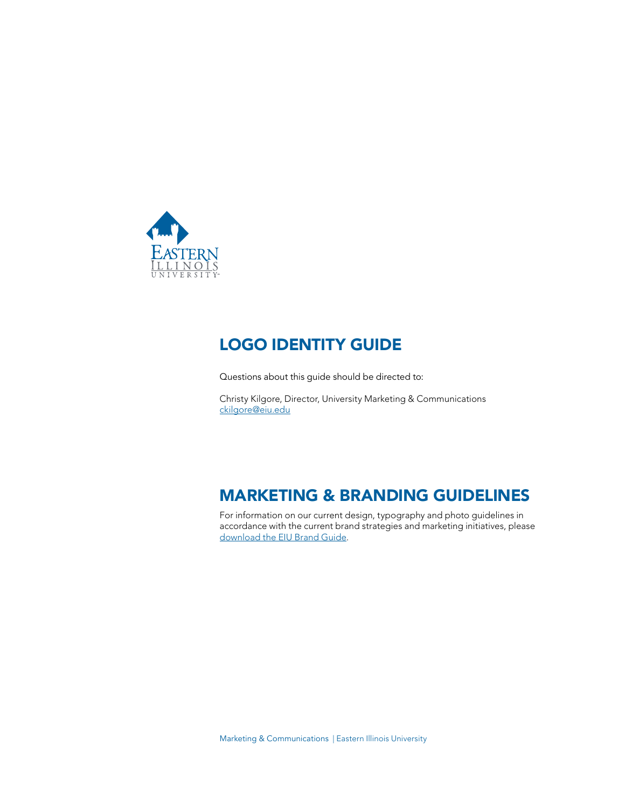

## LOGO IDENTITY GUIDE

Questions about this guide should be directed to:

Christy Kilgore, Director, University Marketing & Communications [ckilgore@eiu.edu](mailto:ckilgore@eiu.edu)

## MARKETING & BRANDING GUIDELINES

For information on our current design, typography and photo guidelines in accordance with the current brand strategies and marketing initiatives, please [download the EIU Brand Guide](https://www.eiu.edu/umac/EIUBrandGuide.pdf).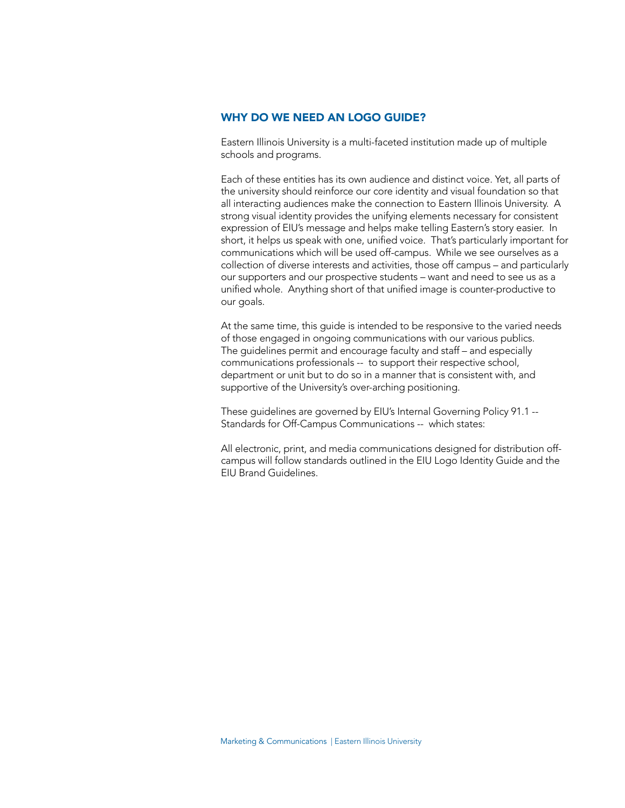### WHY DO WE NEED AN LOGO GUIDE?

Eastern Illinois University is a multi-faceted institution made up of multiple schools and programs.

Each of these entities has its own audience and distinct voice. Yet, all parts of the university should reinforce our core identity and visual foundation so that all interacting audiences make the connection to Eastern Illinois University. A strong visual identity provides the unifying elements necessary for consistent expression of EIU's message and helps make telling Eastern's story easier. In short, it helps us speak with one, unified voice. That's particularly important for communications which will be used off-campus. While we see ourselves as a collection of diverse interests and activities, those off campus – and particularly our supporters and our prospective students – want and need to see us as a unified whole. Anything short of that unified image is counter-productive to our goals.

At the same time, this guide is intended to be responsive to the varied needs of those engaged in ongoing communications with our various publics. The guidelines permit and encourage faculty and staff – and especially communications professionals -- to support their respective school, department or unit but to do so in a manner that is consistent with, and supportive of the University's over-arching positioning.

These guidelines are governed by EIU's Internal Governing Policy 91.1 -- Standards for Off-Campus Communications -- which states:

All electronic, print, and media communications designed for distribution offcampus will follow standards outlined in the EIU Logo Identity Guide and the EIU Brand Guidelines.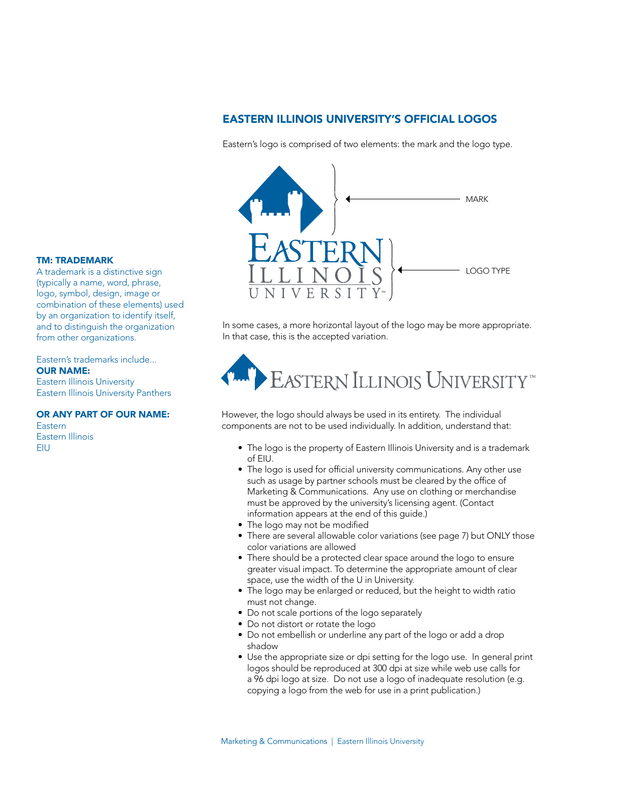#### EASTERN ILLINOIS UNIVERSITY'S OFFICIAL LOGOS

Eastern's logo is comprised of two elements: the mark and the logo type.



In some cases, a more horizontal layout of the logo may be more appropriate. In that case, this is the accepted variation.



However, the logo should always be used in its entirety. The individual components are not to be used individually. In addition, understand that:

- The logo is the property of Eastern Illinois University and is a trademark of EIU.
- The logo is used for official university communications. Any other use such as usage by partner schools must be cleared by the office of Marketing & Communications. Any use on clothing or merchandise must be approved by the university's licensing agent. (Contact information appears at the end of this guide.)
- The logo may not be modified
- There are several allowable color variations (see page 7) but ONLY those color variations are allowed
- There should be a protected clear space around the logo to ensure greater visual impact. To determine the appropriate amount of clear space, use the width of the U in University.
- The logo may be enlarged or reduced, but the height to width ratio must not change.
- Do not scale portions of the logo separately
- Do not distort or rotate the logo
- Do not embellish or underline any part of the logo or add a drop shadow
- Use the appropriate size or dpi setting for the logo use. In general print logos should be reproduced at 300 dpi at size while web use calls for a 96 dpi logo at size. Do not use a logo of inadequate resolution (e.g. copying a logo from the web for use in a print publication.)

#### TM: TRADEMARK

A trademark is a distinctive sign (typically a name, word, phrase, logo, symbol, design, image or combination of these elements) used by an organization to identify itself, and to distinguish the organization from other organizations.

#### Eastern's trademarks include... OUR NAME:

Eastern Illinois University Eastern Illinois University Panthers

OR ANY PART OF OUR NAME:

Eastern Eastern Illinois EIU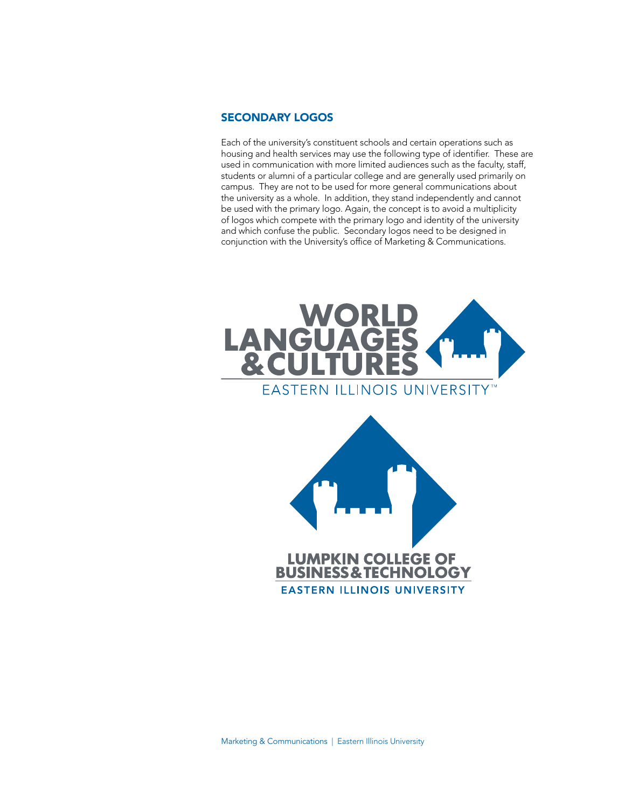#### SECONDARY LOGOS

Each of the university's constituent schools and certain operations such as housing and health services may use the following type of identifier. These are used in communication with more limited audiences such as the faculty, staff, students or alumni of a particular college and are generally used primarily on campus. They are not to be used for more general communications about the university as a whole. In addition, they stand independently and cannot be used with the primary logo. Again, the concept is to avoid a multiplicity of logos which compete with the primary logo and identity of the university and which confuse the public. Secondary logos need to be designed in conjunction with the University's office of Marketing & Communications.



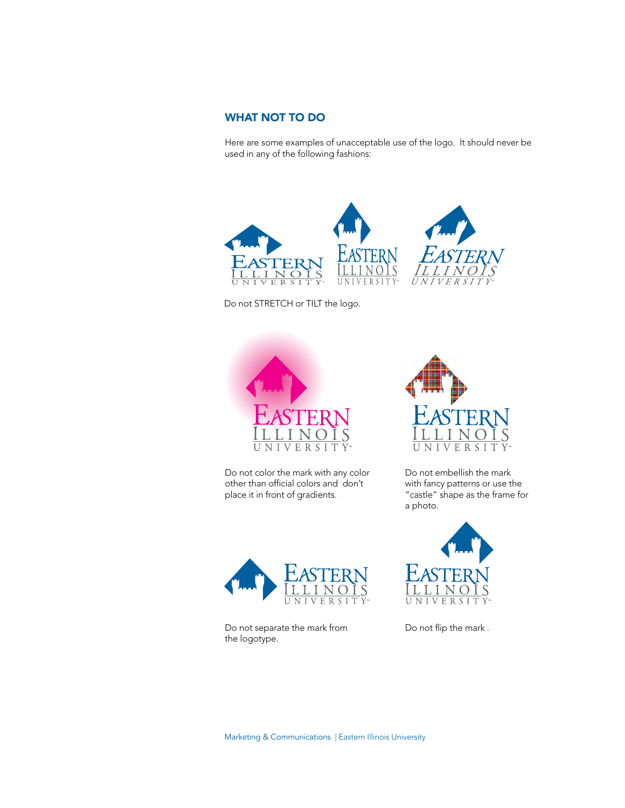#### WHAT NOT TO DO

Here are some examples of unacceptable use of the logo. It should never be used in any of the following fashions:



Do not STRETCH or TILT the logo.



Do not color the mark with any color other than official colors and don't place it in front of gradients.



Do not separate the mark from the logotype.



Do not embellish the mark with fancy patterns or use the "castle" shape as the frame for a photo.



Do not flip the mark .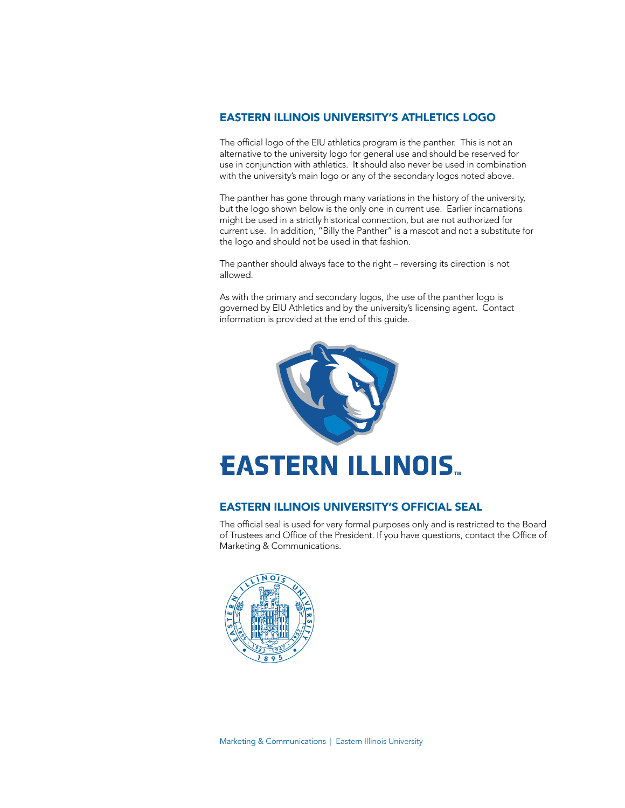### EASTERN ILLINOIS UNIVERSITY'S ATHLETICS LOGO

The official logo of the EIU athletics program is the panther. This is not an alternative to the university logo for general use and should be reserved for use in conjunction with athletics. It should also never be used in combination with the university's main logo or any of the secondary logos noted above.

The panther has gone through many variations in the history of the university, but the logo shown below is the only one in current use. Earlier incarnations might be used in a strictly historical connection, but are not authorized for current use. In addition, "Billy the Panther" is a mascot and not a substitute for the logo and should not be used in that fashion.

The panther should always face to the right – reversing its direction is not allowed.

As with the primary and secondary logos, the use of the panther logo is governed by EIU Athletics and by the university's licensing agent. Contact information is provided at the end of this guide.



#### EASTERN ILLINOIS UNIVERSITY'S OFFICIAL SEAL

The official seal is used for very formal purposes only and is restricted to the Board of Trustees and Office of the President. If you have questions, contact the Office of Marketing & Communications.

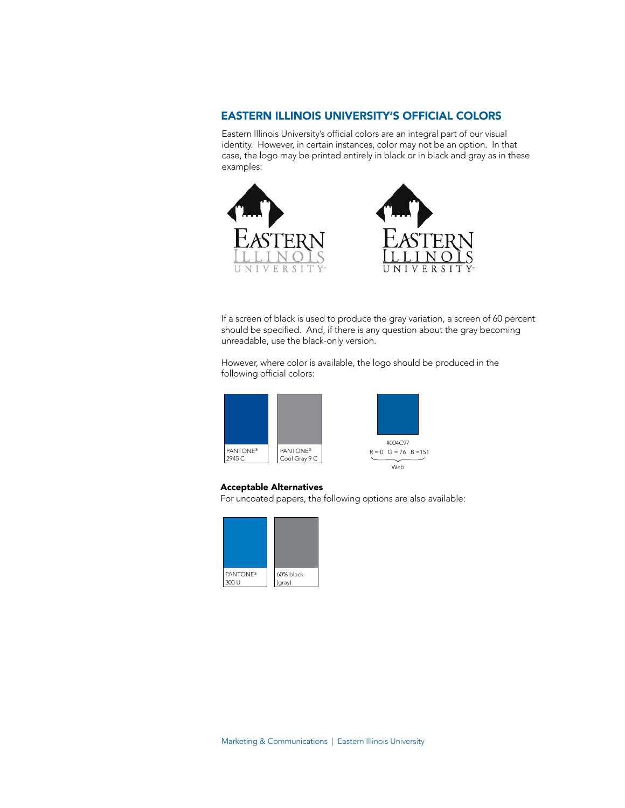#### EASTERN ILLINOIS UNIVERSITY'S OFFICIAL COLORS

Eastern Illinois University's official colors are an integral part of our visual identity. However, in certain instances, color may not be an option. In that case, the logo may be printed entirely in black or in black and gray as in these examples:



If a screen of black is used to produce the gray variation, a screen of 60 percent should be specified. And, if there is any question about the gray becoming unreadable, use the black-only version.

However, where color is available, the logo should be produced in the following official colors:



#### Acceptable Alternatives

For uncoated papers, the following options are also available:

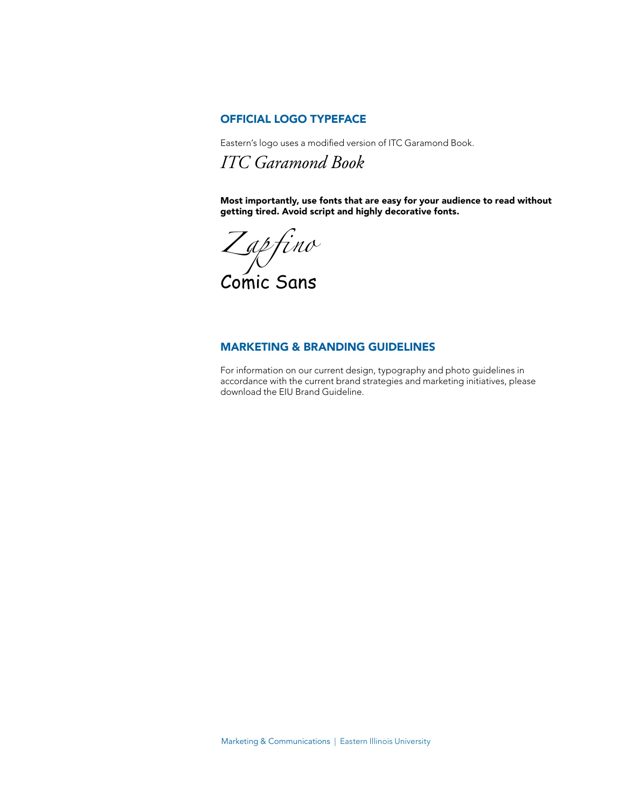#### OFFICIAL LOGO TYPEFACE

Eastern's logo uses a modified version of ITC Garamond Book.

*ITC Garamond Book*

Most importantly, use fonts that are easy for your audience to read without getting tired. Avoid script and highly decorative fonts.

*Z ap fino* Comic Sans

#### MARKETING & BRANDING GUIDELINES

For information on our current design, typography and photo guidelines in accordance with the current brand strategies and marketing initiatives, please download the EIU Brand Guideline.